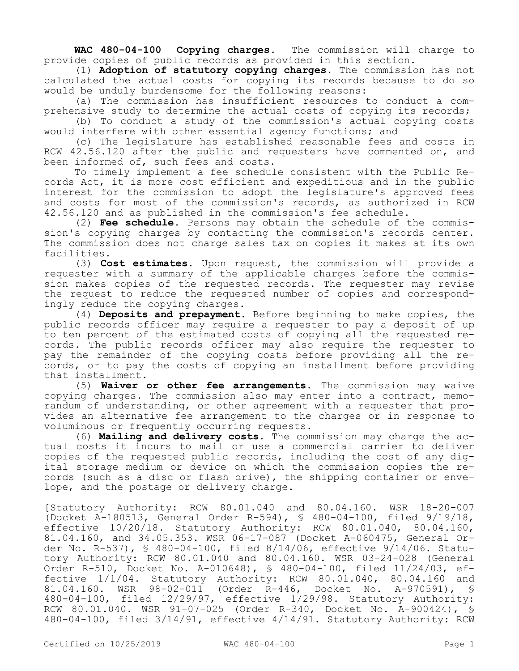**WAC 480-04-100 Copying charges.** The commission will charge to provide copies of public records as provided in this section.

(1) **Adoption of statutory copying charges.** The commission has not calculated the actual costs for copying its records because to do so would be unduly burdensome for the following reasons:

(a) The commission has insufficient resources to conduct a comprehensive study to determine the actual costs of copying its records;

(b) To conduct a study of the commission's actual copying costs would interfere with other essential agency functions; and

(c) The legislature has established reasonable fees and costs in RCW 42.56.120 after the public and requesters have commented on, and been informed of, such fees and costs.

To timely implement a fee schedule consistent with the Public Records Act, it is more cost efficient and expeditious and in the public interest for the commission to adopt the legislature's approved fees and costs for most of the commission's records, as authorized in RCW 42.56.120 and as published in the commission's fee schedule.

(2) **Fee schedule.** Persons may obtain the schedule of the commission's copying charges by contacting the commission's records center. The commission does not charge sales tax on copies it makes at its own facilities.

(3) **Cost estimates.** Upon request, the commission will provide a requester with a summary of the applicable charges before the commission makes copies of the requested records. The requester may revise the request to reduce the requested number of copies and correspondingly reduce the copying charges.

(4) **Deposits and prepayment.** Before beginning to make copies, the public records officer may require a requester to pay a deposit of up to ten percent of the estimated costs of copying all the requested records. The public records officer may also require the requester to pay the remainder of the copying costs before providing all the records, or to pay the costs of copying an installment before providing that installment.

(5) **Waiver or other fee arrangements.** The commission may waive copying charges. The commission also may enter into a contract, memorandum of understanding, or other agreement with a requester that provides an alternative fee arrangement to the charges or in response to voluminous or frequently occurring requests.

(6) **Mailing and delivery costs.** The commission may charge the actual costs it incurs to mail or use a commercial carrier to deliver copies of the requested public records, including the cost of any digital storage medium or device on which the commission copies the records (such as a disc or flash drive), the shipping container or envelope, and the postage or delivery charge.

[Statutory Authority: RCW 80.01.040 and 80.04.160. WSR 18-20-007 (Docket A-180513, General Order R-594), § 480-04-100, filed 9/19/18, effective 10/20/18. Statutory Authority: RCW 80.01.040, 80.04.160, 81.04.160, and 34.05.353. WSR 06-17-087 (Docket A-060475, General Order No. R-537), § 480-04-100, filed 8/14/06, effective 9/14/06. Statutory Authority: RCW 80.01.040 and 80.04.160. WSR 03-24-028 (General Order R-510, Docket No. A-010648), § 480-04-100, filed 11/24/03, effective 1/1/04. Statutory Authority: RCW 80.01.040, 80.04.160 and 81.04.160. WSR 98-02-011 (Order R-446, Docket No. A-970591), § 480-04-100, filed 12/29/97, effective 1/29/98. Statutory Authority: RCW 80.01.040. WSR 91-07-025 (Order R-340, Docket No. A-900424), § 480-04-100, filed 3/14/91, effective 4/14/91. Statutory Authority: RCW